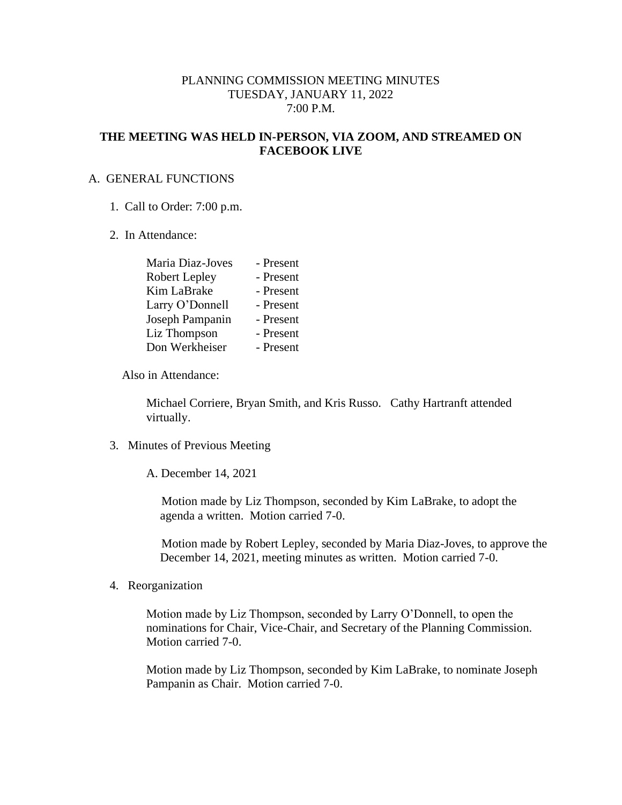## PLANNING COMMISSION MEETING MINUTES TUESDAY, JANUARY 11, 2022 7:00 P.M.

## **THE MEETING WAS HELD IN-PERSON, VIA ZOOM, AND STREAMED ON FACEBOOK LIVE**

### A. GENERAL FUNCTIONS

- 1. Call to Order: 7:00 p.m.
- 2. In Attendance:

| Maria Diaz-Joves     | - Present |
|----------------------|-----------|
| <b>Robert Lepley</b> | - Present |
| Kim LaBrake          | - Present |
| Larry O'Donnell      | - Present |
| Joseph Pampanin      | - Present |
| Liz Thompson         | - Present |
| Don Werkheiser       | - Present |

Also in Attendance:

Michael Corriere, Bryan Smith, and Kris Russo. Cathy Hartranft attended virtually.

3. Minutes of Previous Meeting

A. December 14, 2021

 Motion made by Liz Thompson, seconded by Kim LaBrake, to adopt the agenda a written. Motion carried 7-0.

 Motion made by Robert Lepley, seconded by Maria Diaz-Joves, to approve the December 14, 2021, meeting minutes as written. Motion carried 7-0.

4. Reorganization

Motion made by Liz Thompson, seconded by Larry O'Donnell, to open the nominations for Chair, Vice-Chair, and Secretary of the Planning Commission. Motion carried 7-0.

Motion made by Liz Thompson, seconded by Kim LaBrake, to nominate Joseph Pampanin as Chair. Motion carried 7-0.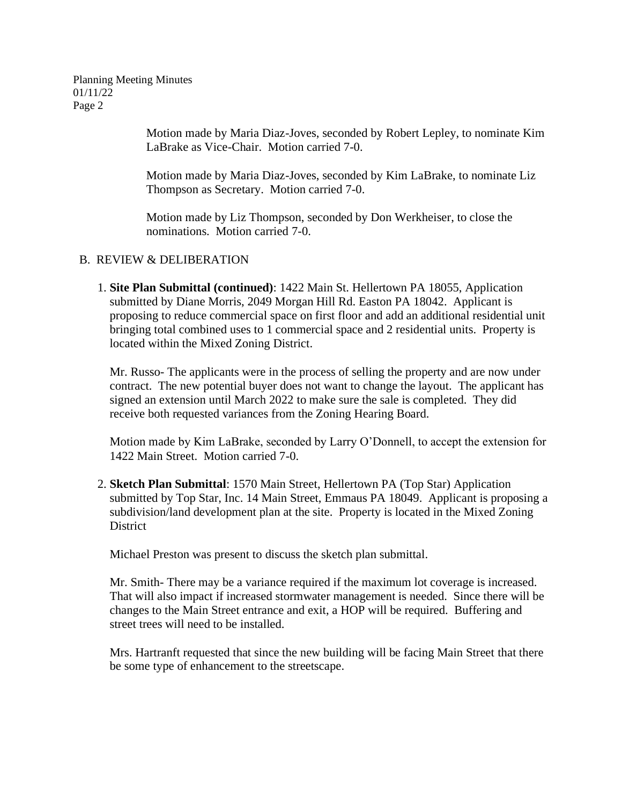Planning Meeting Minutes 01/11/22 Page 2

> Motion made by Maria Diaz-Joves, seconded by Robert Lepley, to nominate Kim LaBrake as Vice-Chair. Motion carried 7-0.

Motion made by Maria Diaz-Joves, seconded by Kim LaBrake, to nominate Liz Thompson as Secretary. Motion carried 7-0.

Motion made by Liz Thompson, seconded by Don Werkheiser, to close the nominations. Motion carried 7-0.

# B. REVIEW & DELIBERATION

 1. **Site Plan Submittal (continued)**: 1422 Main St. Hellertown PA 18055, Application submitted by Diane Morris, 2049 Morgan Hill Rd. Easton PA 18042. Applicant is proposing to reduce commercial space on first floor and add an additional residential unit bringing total combined uses to 1 commercial space and 2 residential units. Property is located within the Mixed Zoning District.

Mr. Russo- The applicants were in the process of selling the property and are now under contract. The new potential buyer does not want to change the layout. The applicant has signed an extension until March 2022 to make sure the sale is completed. They did receive both requested variances from the Zoning Hearing Board.

Motion made by Kim LaBrake, seconded by Larry O'Donnell, to accept the extension for 1422 Main Street. Motion carried 7-0.

 2. **Sketch Plan Submittal**: 1570 Main Street, Hellertown PA (Top Star) Application submitted by Top Star, Inc. 14 Main Street, Emmaus PA 18049. Applicant is proposing a subdivision/land development plan at the site. Property is located in the Mixed Zoning **District** 

Michael Preston was present to discuss the sketch plan submittal.

Mr. Smith- There may be a variance required if the maximum lot coverage is increased. That will also impact if increased stormwater management is needed. Since there will be changes to the Main Street entrance and exit, a HOP will be required. Buffering and street trees will need to be installed.

Mrs. Hartranft requested that since the new building will be facing Main Street that there be some type of enhancement to the streetscape.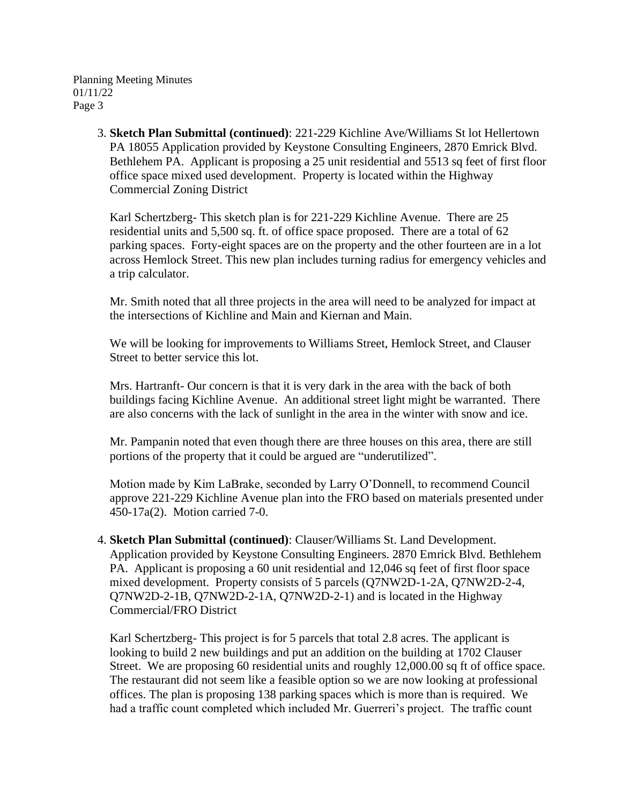Planning Meeting Minutes 01/11/22 Page 3

> 3. **Sketch Plan Submittal (continued)**: 221-229 Kichline Ave/Williams St lot Hellertown PA 18055 Application provided by Keystone Consulting Engineers, 2870 Emrick Blvd. Bethlehem PA. Applicant is proposing a 25 unit residential and 5513 sq feet of first floor office space mixed used development. Property is located within the Highway Commercial Zoning District

Karl Schertzberg- This sketch plan is for 221-229 Kichline Avenue. There are 25 residential units and 5,500 sq. ft. of office space proposed. There are a total of 62 parking spaces. Forty-eight spaces are on the property and the other fourteen are in a lot across Hemlock Street. This new plan includes turning radius for emergency vehicles and a trip calculator.

Mr. Smith noted that all three projects in the area will need to be analyzed for impact at the intersections of Kichline and Main and Kiernan and Main.

We will be looking for improvements to Williams Street, Hemlock Street, and Clauser Street to better service this lot.

Mrs. Hartranft- Our concern is that it is very dark in the area with the back of both buildings facing Kichline Avenue. An additional street light might be warranted. There are also concerns with the lack of sunlight in the area in the winter with snow and ice.

Mr. Pampanin noted that even though there are three houses on this area, there are still portions of the property that it could be argued are "underutilized".

Motion made by Kim LaBrake, seconded by Larry O'Donnell, to recommend Council approve 221-229 Kichline Avenue plan into the FRO based on materials presented under 450-17a(2). Motion carried 7-0.

 4. **Sketch Plan Submittal (continued)**: Clauser/Williams St. Land Development. Application provided by Keystone Consulting Engineers. 2870 Emrick Blvd. Bethlehem PA. Applicant is proposing a 60 unit residential and 12,046 sq feet of first floor space mixed development. Property consists of 5 parcels (Q7NW2D-1-2A, Q7NW2D-2-4, Q7NW2D-2-1B, Q7NW2D-2-1A, Q7NW2D-2-1) and is located in the Highway Commercial/FRO District

Karl Schertzberg- This project is for 5 parcels that total 2.8 acres. The applicant is looking to build 2 new buildings and put an addition on the building at 1702 Clauser Street. We are proposing 60 residential units and roughly 12,000.00 sq ft of office space. The restaurant did not seem like a feasible option so we are now looking at professional offices. The plan is proposing 138 parking spaces which is more than is required. We had a traffic count completed which included Mr. Guerreri's project. The traffic count